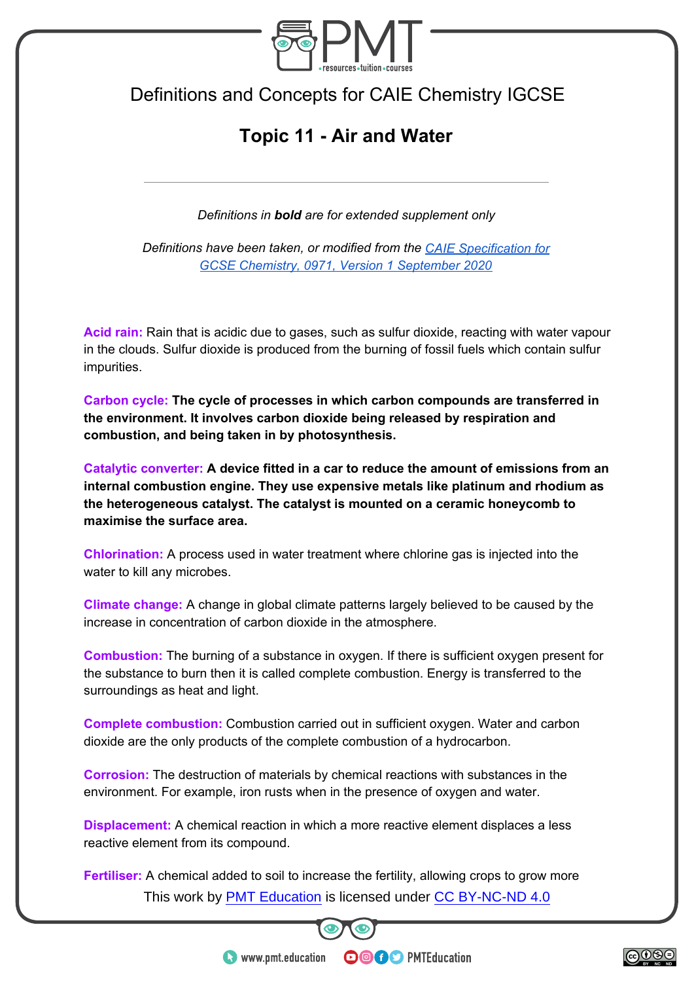

Definitions and Concepts for CAIE Chemistry IGCSE

## **Topic 11 - Air and Water**

*Definitions in bold are for extended supplement only* 

*Definitions have been taken, or modified from the [CAIE Specification for](https://www.cambridgeinternational.org/Images/557031-2022-syllabus.pdf)  [GCSE Chemistry, 0971, Version 1 September 2020](https://www.cambridgeinternational.org/Images/557031-2022-syllabus.pdf)*

**Acid rain:** Rain that is acidic due to gases, such as sulfur dioxide, reacting with water vapour in the clouds. Sulfur dioxide is produced from the burning of fossil fuels which contain sulfur impurities.

**Carbon cycle: The cycle of processes in which carbon compounds are transferred in the environment. It involves carbon dioxide being released by respiration and combustion, and being taken in by photosynthesis.**

**Catalytic converter: A device fitted in a car to reduce the amount of emissions from an internal combustion engine. They use expensive metals like platinum and rhodium as the heterogeneous catalyst. The catalyst is mounted on a ceramic honeycomb to maximise the surface area.** 

**Chlorination:** A process used in water treatment where chlorine gas is injected into the water to kill any microbes.

**Climate change:** A change in global climate patterns largely believed to be caused by the increase in concentration of carbon dioxide in the atmosphere.

**Combustion:** The burning of a substance in oxygen. If there is sufficient oxygen present for the substance to burn then it is called complete combustion. Energy is transferred to the surroundings as heat and light.

**Complete combustion:** Combustion carried out in sufficient oxygen. Water and carbon dioxide are the only products of the complete combustion of a hydrocarbon.

**Corrosion:** The destruction of materials by chemical reactions with substances in the environment. For example, iron rusts when in the presence of oxygen and water.

**Displacement:** A chemical reaction in which a more reactive element displaces a less reactive element from its compound.

This work by **PMT Education** is licensed under CC BY-NC-ND 4.0 **Fertiliser:** A chemical added to soil to increase the fertility, allowing crops to grow more



**OOOO** PMTEducation